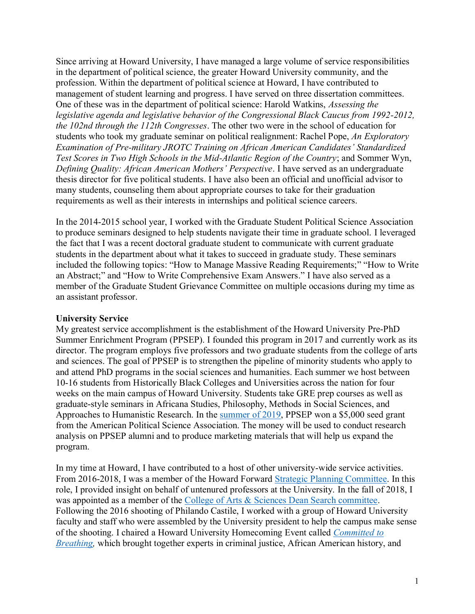Since arriving at Howard University, I have managed a large volume of service responsibilities in the department of political science, the greater Howard University community, and the profession. Within the department of political science at Howard, I have contributed to management of student learning and progress. I have served on three dissertation committees. One of these was in the department of political science: Harold Watkins, *Assessing the legislative agenda and legislative behavior of the Congressional Black Caucus from 1992-2012, the 102nd through the 112th Congresses*. The other two were in the school of education for students who took my graduate seminar on political realignment: Rachel Pope, *An Exploratory Examination of Pre-military JROTC Training on African American Candidates' Standardized Test Scores in Two High Schools in the Mid-Atlantic Region of the Country*; and Sommer Wyn, *Defining Quality: African American Mothers' Perspective*. I have served as an undergraduate thesis director for five political students. I have also been an official and unofficial advisor to many students, counseling them about appropriate courses to take for their graduation requirements as well as their interests in internships and political science careers.

In the 2014-2015 school year, I worked with the Graduate Student Political Science Association to produce seminars designed to help students navigate their time in graduate school. I leveraged the fact that I was a recent doctoral graduate student to communicate with current graduate students in the department about what it takes to succeed in graduate study. These seminars included the following topics: "How to Manage Massive Reading Requirements;" "How to Write an Abstract;" and "How to Write Comprehensive Exam Answers." I have also served as a member of the Graduate Student Grievance Committee on multiple occasions during my time as an assistant professor.

## **University Service**

My greatest service accomplishment is the establishment of the Howard University Pre-PhD Summer Enrichment Program (PPSEP). I founded this program in 2017 and currently work as its director. The program employs five professors and two graduate students from the college of arts and sciences. The goal of PPSEP is to strengthen the pipeline of minority students who apply to and attend PhD programs in the social sciences and humanities. Each summer we host between 10-16 students from Historically Black Colleges and Universities across the nation for four weeks on the main campus of Howard University. Students take GRE prep courses as well as graduate-style seminars in Africana Studies, Philosophy, Methods in Social Sciences, and Approaches to Humanistic Research. In the [summer of 2019,](https://twitter.com/keneshiagrant/status/1134478177768824833) PPSEP won a \$5,000 seed grant from the American Political Science Association. The money will be used to conduct research analysis on PPSEP alumni and to produce marketing materials that will help us expand the program.

In my time at Howard, I have contributed to a host of other university-wide service activities. From 2016-2018, I was a member of the Howard Forward [Strategic Planning Committee.](https://www2.howard.edu/sites/default/files/Howard_Forward_2019-2024.pdf) In this role, I provided insight on behalf of untenured professors at the University. In the fall of 2018, I was appointed as a member of the [College of Arts & Sciences Dean Search committee.](https://www2.howard.edu/office-president-college-arts-and-sciences-dean-search) Following the 2016 shooting of Philando Castile, I worked with a group of Howard University faculty and staff who were assembled by the University president to help the campus make sense of the shooting. I chaired a Howard University Homecoming Event called *[Committed to](https://www.keneshiagrant.com/service)  [Breathing,](https://www.keneshiagrant.com/service)* which brought together experts in criminal justice, African American history, and